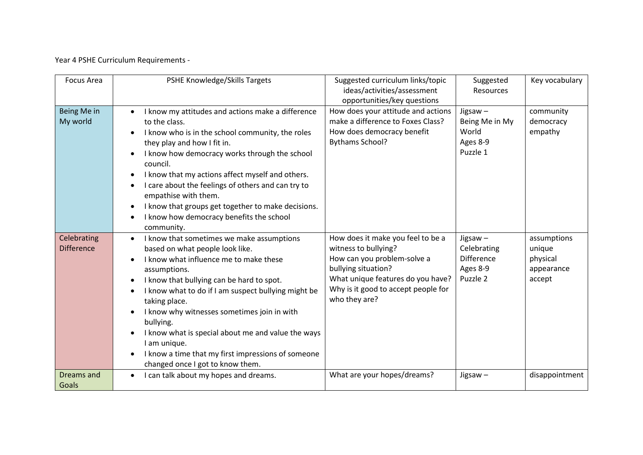Year 4 PSHE Curriculum Requirements -

| <b>Focus Area</b>                | PSHE Knowledge/Skills Targets                                                                                                                                                                                                                                                                                                                                                                                                                                                                        | Suggested curriculum links/topic<br>ideas/activities/assessment<br>opportunities/key questions                                                                                                               | Suggested<br>Resources                                                 | Key vocabulary                                            |
|----------------------------------|------------------------------------------------------------------------------------------------------------------------------------------------------------------------------------------------------------------------------------------------------------------------------------------------------------------------------------------------------------------------------------------------------------------------------------------------------------------------------------------------------|--------------------------------------------------------------------------------------------------------------------------------------------------------------------------------------------------------------|------------------------------------------------------------------------|-----------------------------------------------------------|
| Being Me in<br>My world          | I know my attitudes and actions make a difference<br>to the class.<br>I know who is in the school community, the roles<br>they play and how I fit in.<br>I know how democracy works through the school<br>council.<br>I know that my actions affect myself and others.<br>I care about the feelings of others and can try to<br>$\bullet$<br>empathise with them.<br>I know that groups get together to make decisions.<br>I know how democracy benefits the school<br>community.                    | How does your attitude and actions<br>make a difference to Foxes Class?<br>How does democracy benefit<br><b>Bythams School?</b>                                                                              | Jigsaw-<br>Being Me in My<br>World<br>Ages 8-9<br>Puzzle 1             | community<br>democracy<br>empathy                         |
| Celebrating<br><b>Difference</b> | I know that sometimes we make assumptions<br>$\bullet$<br>based on what people look like.<br>I know what influence me to make these<br>assumptions.<br>I know that bullying can be hard to spot.<br>I know what to do if I am suspect bullying might be<br>taking place.<br>I know why witnesses sometimes join in with<br>bullying.<br>I know what is special about me and value the ways<br>I am unique.<br>I know a time that my first impressions of someone<br>changed once I got to know them. | How does it make you feel to be a<br>witness to bullying?<br>How can you problem-solve a<br>bullying situation?<br>What unique features do you have?<br>Why is it good to accept people for<br>who they are? | Jigsaw $-$<br>Celebrating<br><b>Difference</b><br>Ages 8-9<br>Puzzle 2 | assumptions<br>unique<br>physical<br>appearance<br>accept |
| Dreams and<br>Goals              | I can talk about my hopes and dreams.<br>$\bullet$                                                                                                                                                                                                                                                                                                                                                                                                                                                   | What are your hopes/dreams?                                                                                                                                                                                  | $Jiggsaw -$                                                            | disappointment                                            |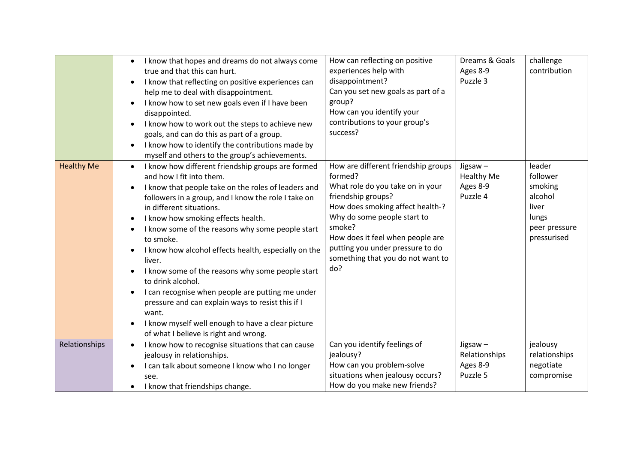|                   | I know that hopes and dreams do not always come<br>true and that this can hurt.<br>I know that reflecting on positive experiences can<br>$\bullet$<br>help me to deal with disappointment.<br>I know how to set new goals even if I have been<br>$\bullet$<br>disappointed.<br>I know how to work out the steps to achieve new<br>$\bullet$<br>goals, and can do this as part of a group.<br>I know how to identify the contributions made by<br>myself and others to the group's achievements.                                                                                                                                                                                                                                       | How can reflecting on positive<br>experiences help with<br>disappointment?<br>Can you set new goals as part of a<br>group?<br>How can you identify your<br>contributions to your group's<br>success?                                                                                                      | Dreams & Goals<br>Ages 8-9<br>Puzzle 3               | challenge<br>contribution                                                                  |
|-------------------|---------------------------------------------------------------------------------------------------------------------------------------------------------------------------------------------------------------------------------------------------------------------------------------------------------------------------------------------------------------------------------------------------------------------------------------------------------------------------------------------------------------------------------------------------------------------------------------------------------------------------------------------------------------------------------------------------------------------------------------|-----------------------------------------------------------------------------------------------------------------------------------------------------------------------------------------------------------------------------------------------------------------------------------------------------------|------------------------------------------------------|--------------------------------------------------------------------------------------------|
| <b>Healthy Me</b> | I know how different friendship groups are formed<br>$\bullet$<br>and how I fit into them.<br>I know that people take on the roles of leaders and<br>$\bullet$<br>followers in a group, and I know the role I take on<br>in different situations.<br>I know how smoking effects health.<br>I know some of the reasons why some people start<br>to smoke.<br>I know how alcohol effects health, especially on the<br>$\bullet$<br>liver.<br>I know some of the reasons why some people start<br>to drink alcohol.<br>I can recognise when people are putting me under<br>٠<br>pressure and can explain ways to resist this if I<br>want.<br>I know myself well enough to have a clear picture<br>of what I believe is right and wrong. | How are different friendship groups<br>formed?<br>What role do you take on in your<br>friendship groups?<br>How does smoking affect health-?<br>Why do some people start to<br>smoke?<br>How does it feel when people are<br>putting you under pressure to do<br>something that you do not want to<br>do? | Jigsaw-<br><b>Healthy Me</b><br>Ages 8-9<br>Puzzle 4 | leader<br>follower<br>smoking<br>alcohol<br>liver<br>lungs<br>peer pressure<br>pressurised |
| Relationships     | I know how to recognise situations that can cause<br>$\bullet$<br>jealousy in relationships.<br>I can talk about someone I know who I no longer<br>$\bullet$<br>see.<br>I know that friendships change.                                                                                                                                                                                                                                                                                                                                                                                                                                                                                                                               | Can you identify feelings of<br>jealousy?<br>How can you problem-solve<br>situations when jealousy occurs?<br>How do you make new friends?                                                                                                                                                                | Jigsaw-<br>Relationships<br>Ages 8-9<br>Puzzle 5     | jealousy<br>relationships<br>negotiate<br>compromise                                       |